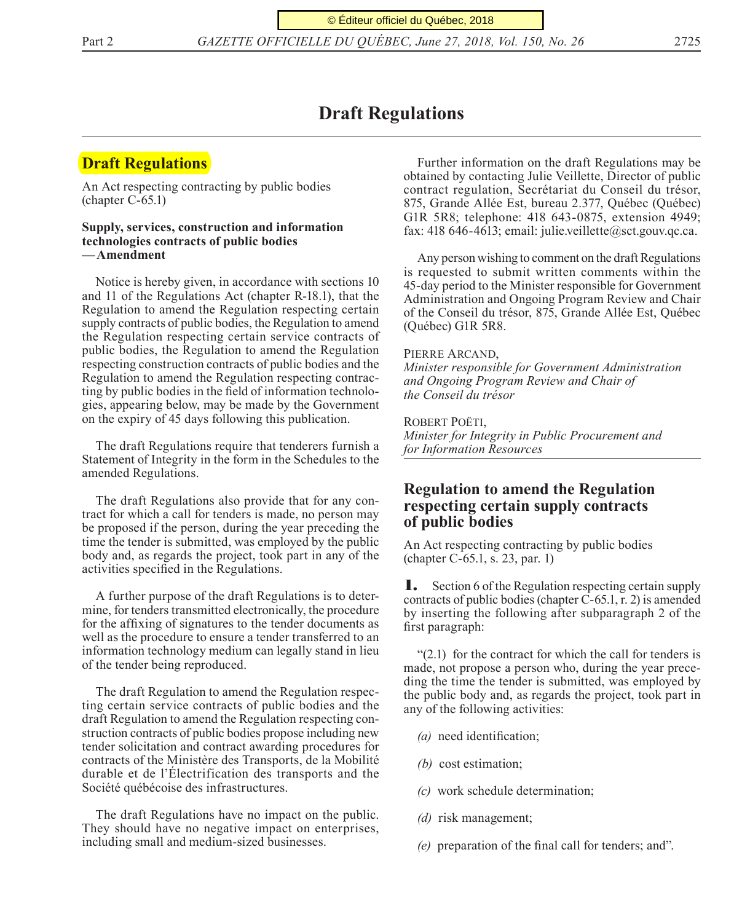© Éditeur officiel du Québec, 2018

Part 2 *GAZETTE OFFICIELLE DU QUÉBEC, June 27, 2018, Vol. 150, No. 26* 2725

# **Draft Regulations**

# **Draft Regulations**

An Act respecting contracting by public bodies (chapter C-65.1)

#### **Supply, services, construction and information technologies contracts of public bodies —Amendment**

Notice is hereby given, in accordance with sections 10 and 11 of the Regulations Act (chapter R-18.1), that the Regulation to amend the Regulation respecting certain supply contracts of public bodies, the Regulation to amend the Regulation respecting certain service contracts of public bodies, the Regulation to amend the Regulation respecting construction contracts of public bodies and the Regulation to amend the Regulation respecting contracting by public bodies in the field of information technologies, appearing below, may be made by the Government on the expiry of 45 days following this publication.

The draft Regulations require that tenderers furnish a Statement of Integrity in the form in the Schedules to the amended Regulations.

The draft Regulations also provide that for any contract for which a call for tenders is made, no person may be proposed if the person, during the year preceding the time the tender is submitted, was employed by the public body and, as regards the project, took part in any of the activities specified in the Regulations.

A further purpose of the draft Regulations is to determine, for tenders transmitted electronically, the procedure for the affixing of signatures to the tender documents as well as the procedure to ensure a tender transferred to an information technology medium can legally stand in lieu of the tender being reproduced.

The draft Regulation to amend the Regulation respecting certain service contracts of public bodies and the draft Regulation to amend the Regulation respecting construction contracts of public bodies propose including new tender solicitation and contract awarding procedures for contracts of the Ministère des Transports, de la Mobilité durable et de l'Électrification des transports and the Société québécoise des infrastructures.

The draft Regulations have no impact on the public. They should have no negative impact on enterprises, including small and medium-sized businesses.

Further information on the draft Regulations may be obtained by contacting Julie Veillette, Director of public contract regulation, Secrétariat du Conseil du trésor, 875, Grande Allée Est, bureau 2.377, Québec (Québec) G1R 5R8; telephone: 418 643-0875, extension 4949; fax: 418 646-4613; email: julie.veillette@sct.gouv.qc.ca.

Any person wishing to comment on the draft Regulations is requested to submit written comments within the 45-day period to the Minister responsible for Government Administration and Ongoing Program Review and Chair of the Conseil du trésor, 875, Grande Allée Est, Québec (Québec) G1R 5R8.

#### Pierre Arcand,

*Minister responsible for Government Administration and Ongoing Program Review and Chair of the Conseil du trésor*

ROBERT POËTI. *Minister for Integrity in Public Procurement and for Information Resources*

### **Regulation to amend the Regulation respecting certain supply contracts of public bodies**

An Act respecting contracting by public bodies (chapter C-65.1, s. 23, par. 1)

1. Section 6 of the Regulation respecting certain supply contracts of public bodies (chapter C-65.1, r. 2) is amended by inserting the following after subparagraph 2 of the first paragraph:

 $(2.1)$  for the contract for which the call for tenders is made, not propose a person who, during the year preceding the time the tender is submitted, was employed by the public body and, as regards the project, took part in any of the following activities:

- *(a)* need identification;
- *(b)* cost estimation;
- *(c)* work schedule determination;
- *(d)* risk management;
- *(e)* preparation of the final call for tenders; and".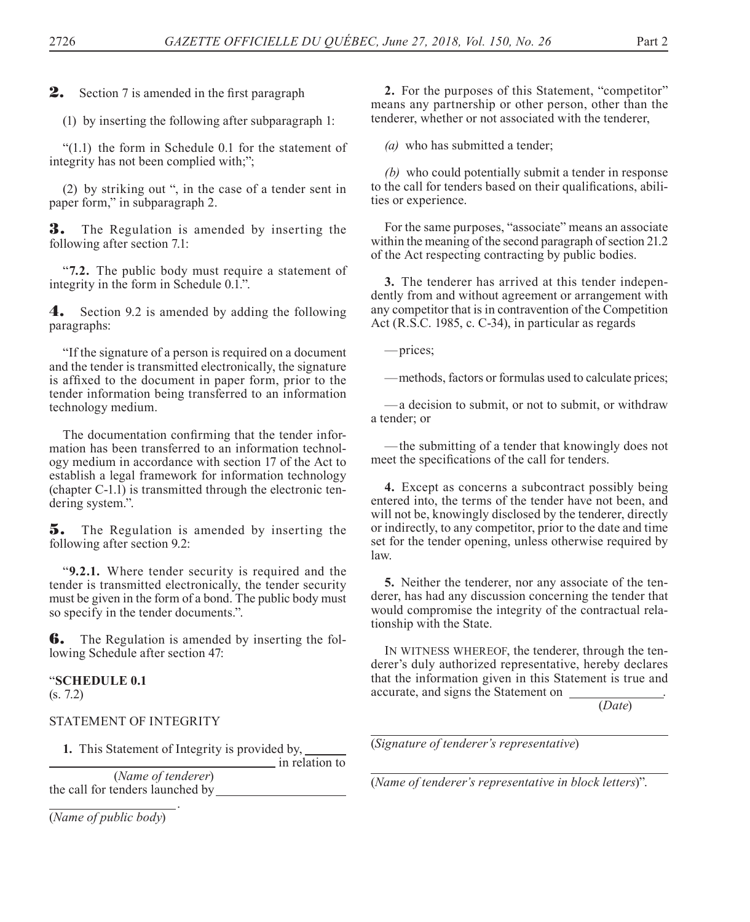2. Section 7 is amended in the first paragraph

(1) by inserting the following after subparagraph 1:

"(1.1) the form in Schedule 0.1 for the statement of integrity has not been complied with;";

(2) by striking out ", in the case of a tender sent in paper form," in subparagraph 2.

3. The Regulation is amended by inserting the following after section 7.1:

"**7.2.** The public body must require a statement of integrity in the form in Schedule 0.1.".

4. Section 9.2 is amended by adding the following paragraphs:

"If the signature of a person is required on a document and the tender is transmitted electronically, the signature is affixed to the document in paper form, prior to the tender information being transferred to an information technology medium.

The documentation confirming that the tender information has been transferred to an information technology medium in accordance with section 17 of the Act to establish a legal framework for information technology (chapter C-1.1) is transmitted through the electronic tendering system.".

**5.** The Regulation is amended by inserting the following after section 9.2:

"**9.2.1.** Where tender security is required and the tender is transmitted electronically, the tender security must be given in the form of a bond. The public body must so specify in the tender documents.".

**6.** The Regulation is amended by inserting the following Schedule after section 47:

# "**SCHEDULE 0.1**

(s. 7.2)

.

#### STATEMENT OF INTEGRITY

**1.** This Statement of Integrity is provided by,  $\frac{1}{\sqrt{1}}$  in relation to

(*Name of tenderer*) the call for tenders launched by

(*Name of public body*)

**2.** For the purposes of this Statement, "competitor" means any partnership or other person, other than the tenderer, whether or not associated with the tenderer,

*(a)* who has submitted a tender;

*(b)* who could potentially submit a tender in response to the call for tenders based on their qualifications, abilities or experience.

For the same purposes, "associate" means an associate within the meaning of the second paragraph of section 21.2 of the Act respecting contracting by public bodies.

**3.** The tenderer has arrived at this tender independently from and without agreement or arrangement with any competitor that is in contravention of the Competition Act (R.S.C. 1985, c. C-34), in particular as regards

—prices;

—methods, factors or formulas used to calculate prices;

—a decision to submit, or not to submit, or withdraw a tender; or

—the submitting of a tender that knowingly does not meet the specifications of the call for tenders.

**4.** Except as concerns a subcontract possibly being entered into, the terms of the tender have not been, and will not be, knowingly disclosed by the tenderer, directly or indirectly, to any competitor, prior to the date and time set for the tender opening, unless otherwise required by law.

**5.** Neither the tenderer, nor any associate of the tenderer, has had any discussion concerning the tender that would compromise the integrity of the contractual relationship with the State.

IN WITNESS WHEREOF, the tenderer, through the tenderer's duly authorized representative, hereby declares that the information given in this Statement is true and accurate, and signs the Statement on .

(*Date*)

(*Signature of tenderer's representative*)

(*Name of tenderer's representative in block letters*)".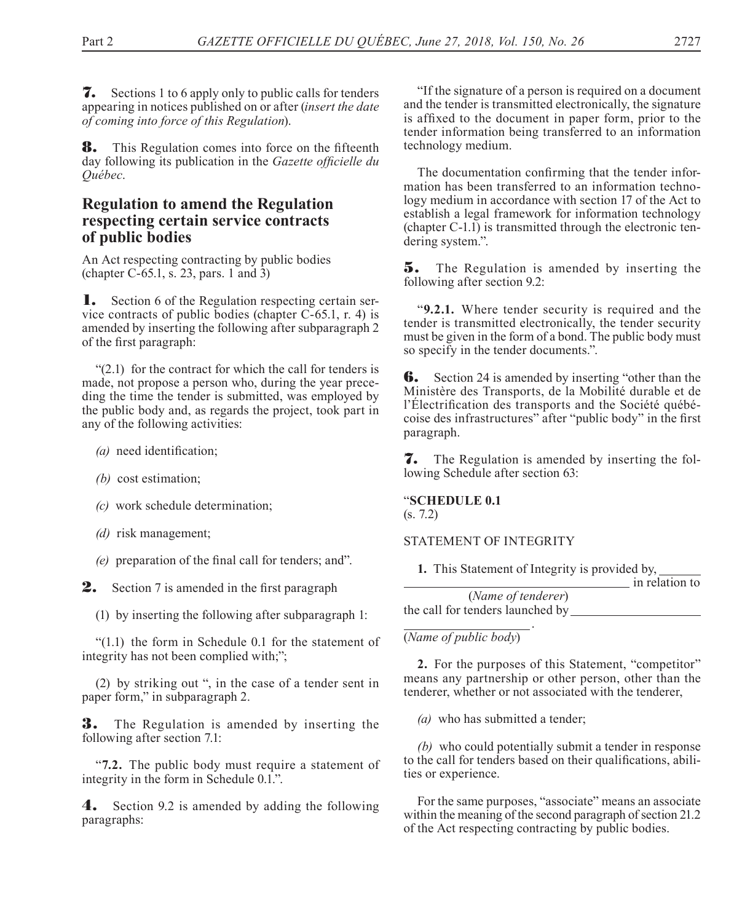7. Sections 1 to 6 apply only to public calls for tenders appearing in notices published on or after (*insert the date of coming into force of this Regulation*).

**8.** This Regulation comes into force on the fifteenth day following its publication in the *Gazette officielle du Québec*.

## **Regulation to amend the Regulation respecting certain service contracts of public bodies**

An Act respecting contracting by public bodies (chapter C-65.1, s. 23, pars. 1 and 3)

1. Section 6 of the Regulation respecting certain service contracts of public bodies (chapter C-65.1, r. 4) is amended by inserting the following after subparagraph 2 of the first paragraph:

 $(2.1)$  for the contract for which the call for tenders is made, not propose a person who, during the year preceding the time the tender is submitted, was employed by the public body and, as regards the project, took part in any of the following activities:

- *(a)* need identification;
- *(b)* cost estimation;
- *(c)* work schedule determination;
- *(d)* risk management;
- *(e)* preparation of the final call for tenders; and".

2. Section 7 is amended in the first paragraph

(1) by inserting the following after subparagraph 1:

"(1.1) the form in Schedule 0.1 for the statement of integrity has not been complied with;";

(2) by striking out ", in the case of a tender sent in paper form," in subparagraph 2.

**3.** The Regulation is amended by inserting the following after section 7.1:

"**7.2.** The public body must require a statement of integrity in the form in Schedule 0.1.".

4. Section 9.2 is amended by adding the following paragraphs:

"If the signature of a person is required on a document and the tender is transmitted electronically, the signature is affixed to the document in paper form, prior to the tender information being transferred to an information technology medium.

The documentation confirming that the tender information has been transferred to an information technology medium in accordance with section 17 of the Act to establish a legal framework for information technology (chapter C-1.1) is transmitted through the electronic tendering system.".

**5.** The Regulation is amended by inserting the following after section 9.2:

"**9.2.1.** Where tender security is required and the tender is transmitted electronically, the tender security must be given in the form of a bond. The public body must so specify in the tender documents.".

**6.** Section 24 is amended by inserting "other than the Ministère des Transports, de la Mobilité durable et de l'Électrification des transports and the Société québécoise des infrastructures" after "public body" in the first paragraph.

7. The Regulation is amended by inserting the following Schedule after section 63:

#### "**SCHEDULE 0.1**

(s. 7.2)

#### STATEMENT OF INTEGRITY

**1.** This Statement of Integrity is provided by,

in relation to

| (Name of tenderer)               |  |
|----------------------------------|--|
| the call for tenders launched by |  |

 . (*Name of public body*)

**2.** For the purposes of this Statement, "competitor" means any partnership or other person, other than the tenderer, whether or not associated with the tenderer,

*(a)* who has submitted a tender;

*(b)* who could potentially submit a tender in response to the call for tenders based on their qualifications, abilities or experience.

For the same purposes, "associate" means an associate within the meaning of the second paragraph of section 21.2 of the Act respecting contracting by public bodies.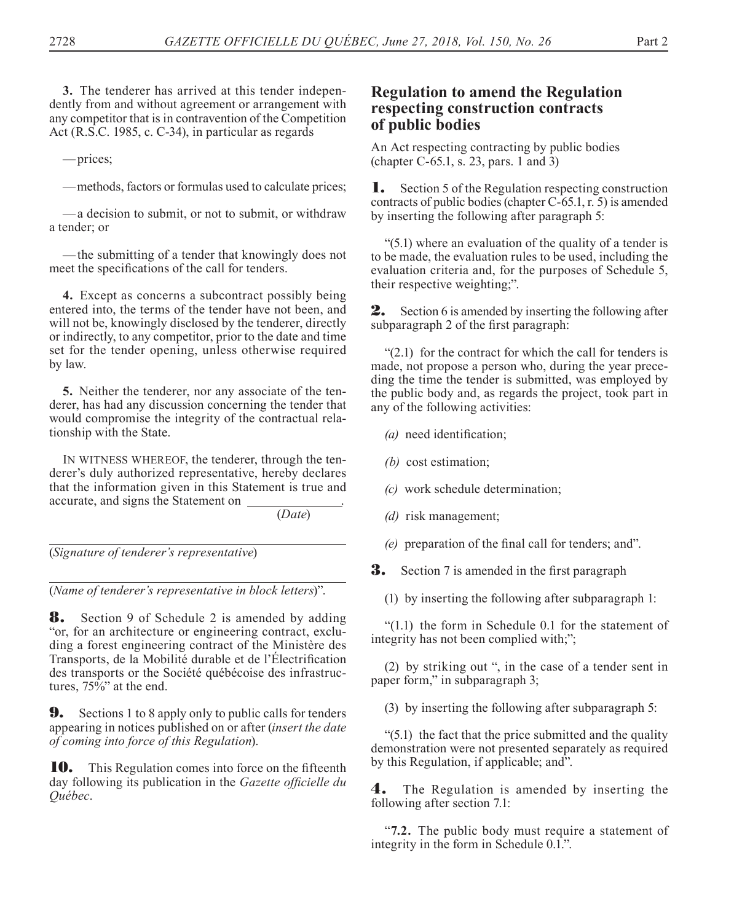**3.** The tenderer has arrived at this tender independently from and without agreement or arrangement with any competitor that is in contravention of the Competition Act (R.S.C. 1985, c. C-34), in particular as regards

—prices;

—methods, factors or formulas used to calculate prices;

—a decision to submit, or not to submit, or withdraw a tender; or

—the submitting of a tender that knowingly does not meet the specifications of the call for tenders.

**4.** Except as concerns a subcontract possibly being entered into, the terms of the tender have not been, and will not be, knowingly disclosed by the tenderer, directly or indirectly, to any competitor, prior to the date and time set for the tender opening, unless otherwise required by law.

**5.** Neither the tenderer, nor any associate of the tenderer, has had any discussion concerning the tender that would compromise the integrity of the contractual relationship with the State.

IN WITNESS WHEREOF, the tenderer, through the tenderer's duly authorized representative, hereby declares that the information given in this Statement is true and accurate, and signs the Statement on .

(*Date*)

(*Signature of tenderer's representative*)

(*Name of tenderer's representative in block letters*)".

**8.** Section 9 of Schedule 2 is amended by adding "or, for an architecture or engineering contract, excluding a forest engineering contract of the Ministère des Transports, de la Mobilité durable et de l'Électrification des transports or the Société québécoise des infrastructures,  $75\%$ " at the end.

**9.** Sections 1 to 8 apply only to public calls for tenders appearing in notices published on or after (*insert the date of coming into force of this Regulation*).

**10.** This Regulation comes into force on the fifteenth day following its publication in the *Gazette officielle du Québec*.

## **Regulation to amend the Regulation respecting construction contracts of public bodies**

An Act respecting contracting by public bodies (chapter C-65.1, s. 23, pars. 1 and 3)

1. Section 5 of the Regulation respecting construction contracts of public bodies (chapter C-65.1, r. 5) is amended by inserting the following after paragraph 5:

"(5.1) where an evaluation of the quality of a tender is to be made, the evaluation rules to be used, including the evaluation criteria and, for the purposes of Schedule 5, their respective weighting;".

**2.** Section 6 is amended by inserting the following after subparagraph 2 of the first paragraph:

 $(2.1)$  for the contract for which the call for tenders is made, not propose a person who, during the year preceding the time the tender is submitted, was employed by the public body and, as regards the project, took part in any of the following activities:

*(a)* need identification;

*(b)* cost estimation;

*(c)* work schedule determination;

*(d)* risk management;

*(e)* preparation of the final call for tenders; and".

**3.** Section 7 is amended in the first paragraph

(1) by inserting the following after subparagraph 1:

"(1.1) the form in Schedule 0.1 for the statement of integrity has not been complied with;";

(2) by striking out ", in the case of a tender sent in paper form," in subparagraph 3;

(3) by inserting the following after subparagraph 5:

 $(5.1)$  the fact that the price submitted and the quality demonstration were not presented separately as required by this Regulation, if applicable; and".

4. The Regulation is amended by inserting the following after section 7.1:

"**7.2.** The public body must require a statement of integrity in the form in Schedule 0.1.".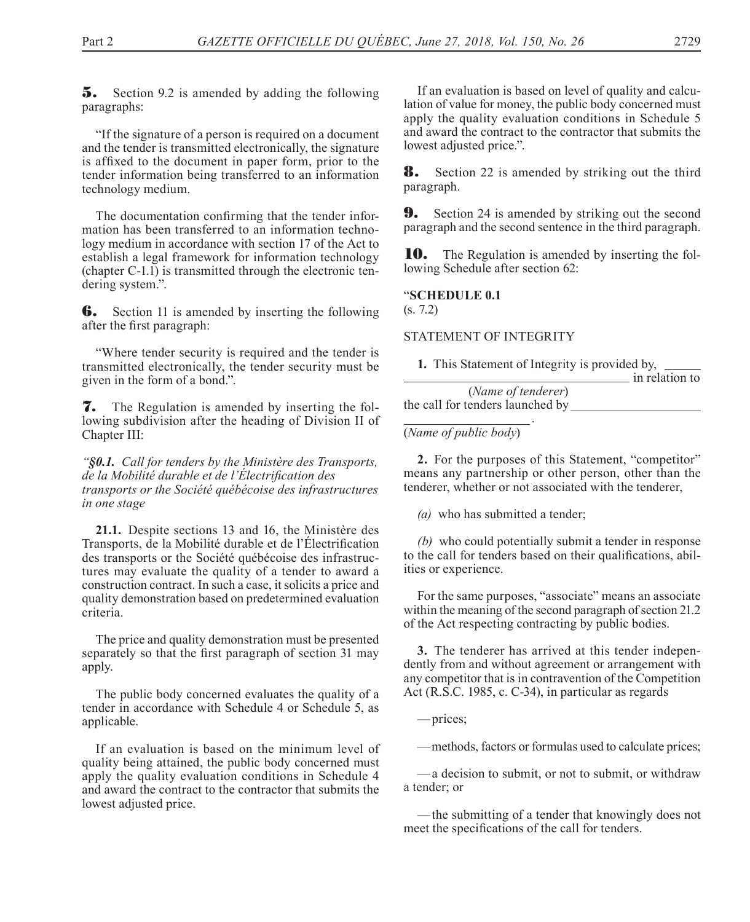5. Section 9.2 is amended by adding the following paragraphs:

"If the signature of a person is required on a document and the tender is transmitted electronically, the signature is affixed to the document in paper form, prior to the tender information being transferred to an information technology medium.

The documentation confirming that the tender information has been transferred to an information technology medium in accordance with section 17 of the Act to establish a legal framework for information technology (chapter C-1.1) is transmitted through the electronic tendering system.".

**6.** Section 11 is amended by inserting the following after the first paragraph:

"Where tender security is required and the tender is transmitted electronically, the tender security must be given in the form of a bond.".

7. The Regulation is amended by inserting the following subdivision after the heading of Division II of Chapter III:

*"§0.1. Call for tenders by the Ministère des Transports, de la Mobilité durable et de l'Électrification des transports or the Société québécoise des infrastructures in one stage*

**21.1.** Despite sections 13 and 16, the Ministère des Transports, de la Mobilité durable et de l'Électrification des transports or the Société québécoise des infrastructures may evaluate the quality of a tender to award a construction contract. In such a case, it solicits a price and quality demonstration based on predetermined evaluation criteria.

The price and quality demonstration must be presented separately so that the first paragraph of section 31 may apply.

The public body concerned evaluates the quality of a tender in accordance with Schedule 4 or Schedule 5, as applicable.

If an evaluation is based on the minimum level of quality being attained, the public body concerned must apply the quality evaluation conditions in Schedule 4 and award the contract to the contractor that submits the lowest adjusted price.

If an evaluation is based on level of quality and calculation of value for money, the public body concerned must apply the quality evaluation conditions in Schedule 5 and award the contract to the contractor that submits the lowest adjusted price.".

**8.** Section 22 is amended by striking out the third paragraph.

**9.** Section 24 is amended by striking out the second paragraph and the second sentence in the third paragraph.

**10.** The Regulation is amended by inserting the following Schedule after section 62:

### "**SCHEDULE 0.1**

(s. 7.2)

#### STATEMENT OF INTEGRITY

**1.** This Statement of Integrity is provided by,

|                                  | in relation to |
|----------------------------------|----------------|
| (Name of tenderer)               |                |
| the call for tenders launched by |                |

 . (*Name of public body*)

**2.** For the purposes of this Statement, "competitor" means any partnership or other person, other than the tenderer, whether or not associated with the tenderer,

*(a)* who has submitted a tender;

*(b)* who could potentially submit a tender in response to the call for tenders based on their qualifications, abilities or experience.

For the same purposes, "associate" means an associate within the meaning of the second paragraph of section 21.2 of the Act respecting contracting by public bodies.

**3.** The tenderer has arrived at this tender independently from and without agreement or arrangement with any competitor that is in contravention of the Competition Act (R.S.C. 1985, c. C-34), in particular as regards

—prices;

—methods, factors or formulas used to calculate prices;

—a decision to submit, or not to submit, or withdraw a tender; or

—the submitting of a tender that knowingly does not meet the specifications of the call for tenders.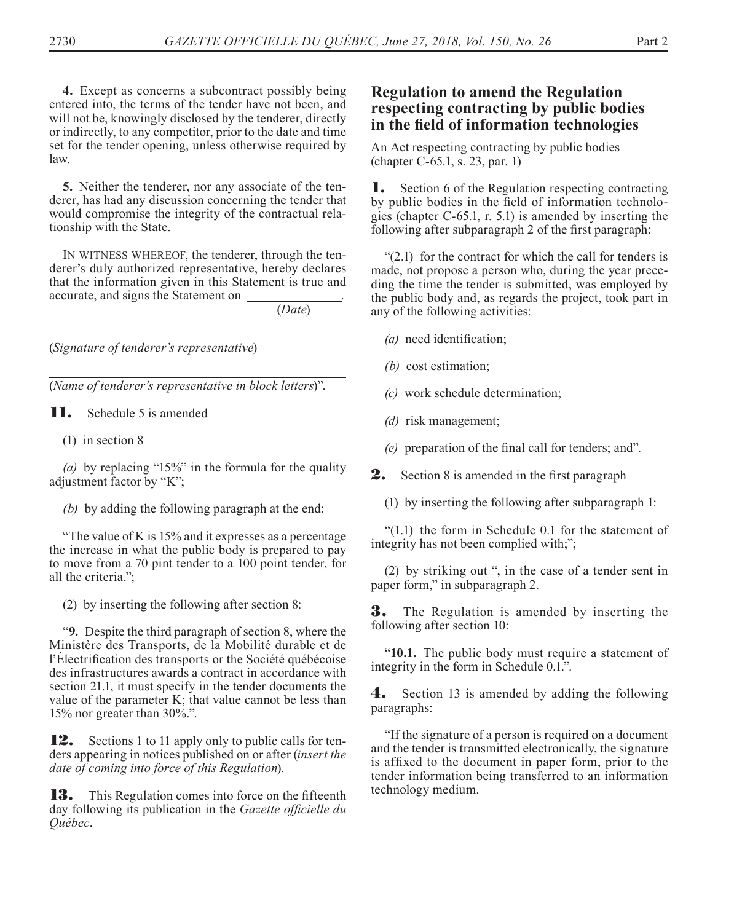**4.** Except as concerns a subcontract possibly being entered into, the terms of the tender have not been, and will not be, knowingly disclosed by the tenderer, directly or indirectly, to any competitor, prior to the date and time set for the tender opening, unless otherwise required by law.

**5.** Neither the tenderer, nor any associate of the tenderer, has had any discussion concerning the tender that would compromise the integrity of the contractual relationship with the State.

IN WITNESS WHEREOF, the tenderer, through the tenderer's duly authorized representative, hereby declares that the information given in this Statement is true and accurate, and signs the Statement on .

(*Date*)

(*Signature of tenderer's representative*)

(*Name of tenderer's representative in block letters*)".

**11.** Schedule 5 is amended

(1) in section 8

*(a)* by replacing "15%" in the formula for the quality adjustment factor by "K";

*(b)* by adding the following paragraph at the end:

"The value of K is 15% and it expresses as a percentage the increase in what the public body is prepared to pay to move from a 70 pint tender to a 100 point tender, for all the criteria.";

(2) by inserting the following after section 8:

"**9.** Despite the third paragraph of section 8, where the Ministère des Transports, de la Mobilité durable et de l'Électrification des transports or the Société québécoise des infrastructures awards a contract in accordance with section 21.1, it must specify in the tender documents the value of the parameter K; that value cannot be less than 15% nor greater than 30%.".

**12.** Sections 1 to 11 apply only to public calls for tenders appearing in notices published on or after (*insert the date of coming into force of this Regulation*).

**13.** This Regulation comes into force on the fifteenth day following its publication in the *Gazette officielle du Québec*.

## **Regulation to amend the Regulation respecting contracting by public bodies in the field of information technologies**

An Act respecting contracting by public bodies (chapter C-65.1, s. 23, par. 1)

1. Section 6 of the Regulation respecting contracting by public bodies in the field of information technologies (chapter C-65.1, r. 5.1) is amended by inserting the following after subparagraph 2 of the first paragraph:

 $(2.1)$  for the contract for which the call for tenders is made, not propose a person who, during the year preceding the time the tender is submitted, was employed by the public body and, as regards the project, took part in any of the following activities:

- *(a)* need identification;
- *(b)* cost estimation;
- *(c)* work schedule determination;
- *(d)* risk management;
- *(e)* preparation of the final call for tenders; and".

**2.** Section 8 is amended in the first paragraph

(1) by inserting the following after subparagraph 1:

"(1.1) the form in Schedule 0.1 for the statement of integrity has not been complied with;";

(2) by striking out ", in the case of a tender sent in paper form," in subparagraph 2.

3. The Regulation is amended by inserting the following after section 10:

"**10.1.** The public body must require a statement of integrity in the form in Schedule 0.1.".

4. Section 13 is amended by adding the following paragraphs:

"If the signature of a person is required on a document and the tender is transmitted electronically, the signature is affixed to the document in paper form, prior to the tender information being transferred to an information technology medium.